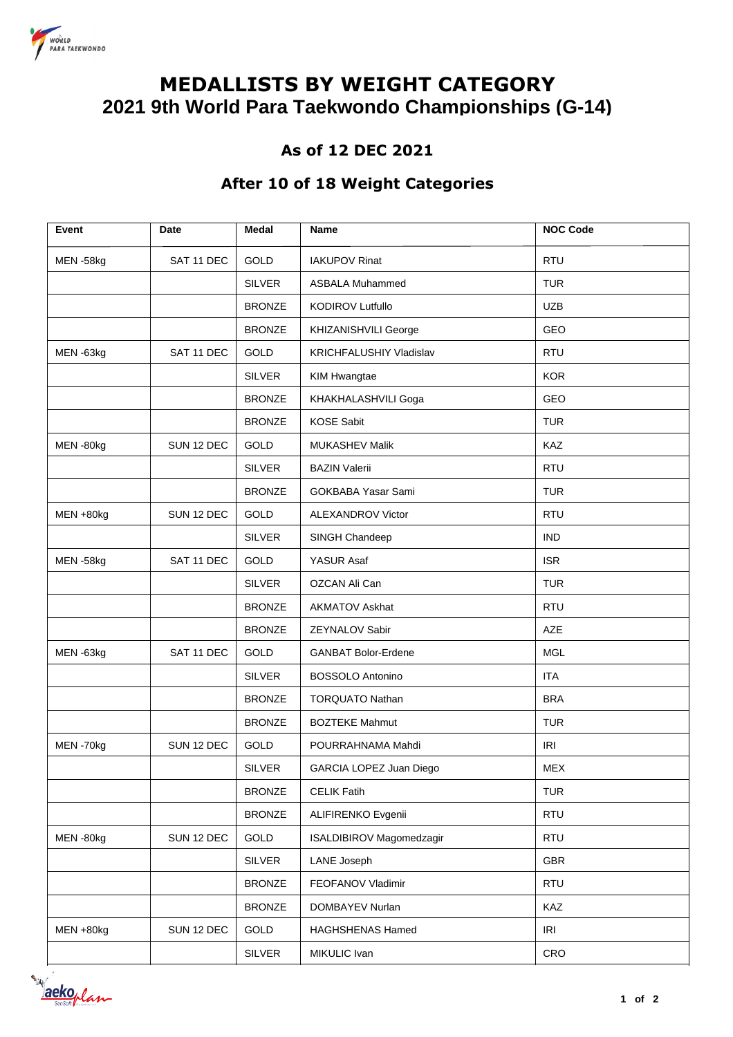

# **MEDALLISTS BY WEIGHT CATEGORY 2021 9th World Para Taekwondo Championships (G-14)**

### **As of 12 DEC 2021**

#### **After 10 of 18 Weight Categories**

| Event     | Date       | Medal         | <b>Name</b>                | <b>NOC Code</b> |
|-----------|------------|---------------|----------------------------|-----------------|
| MEN-58kg  | SAT 11 DEC | GOLD          | <b>IAKUPOV Rinat</b>       | <b>RTU</b>      |
|           |            | <b>SILVER</b> | <b>ASBALA Muhammed</b>     | <b>TUR</b>      |
|           |            | <b>BRONZE</b> | <b>KODIROV Lutfullo</b>    | <b>UZB</b>      |
|           |            | <b>BRONZE</b> | KHIZANISHVILI George       | GEO             |
| MEN-63kg  | SAT 11 DEC | GOLD          | KRICHFALUSHIY Vladislav    | <b>RTU</b>      |
|           |            | <b>SILVER</b> | <b>KIM Hwangtae</b>        | <b>KOR</b>      |
|           |            | <b>BRONZE</b> | KHAKHALASHVILI Goga        | GEO             |
|           |            | <b>BRONZE</b> | <b>KOSE Sabit</b>          | <b>TUR</b>      |
| MEN-80kg  | SUN 12 DEC | GOLD          | <b>MUKASHEV Malik</b>      | KAZ             |
|           |            | <b>SILVER</b> | <b>BAZIN Valerii</b>       | <b>RTU</b>      |
|           |            | <b>BRONZE</b> | <b>GOKBABA Yasar Sami</b>  | <b>TUR</b>      |
| MEN +80kg | SUN 12 DEC | GOLD          | <b>ALEXANDROV Victor</b>   | <b>RTU</b>      |
|           |            | <b>SILVER</b> | SINGH Chandeep             | <b>IND</b>      |
| MEN-58kg  | SAT 11 DEC | GOLD          | YASUR Asaf                 | <b>ISR</b>      |
|           |            | <b>SILVER</b> | OZCAN Ali Can              | <b>TUR</b>      |
|           |            | <b>BRONZE</b> | <b>AKMATOV Askhat</b>      | <b>RTU</b>      |
|           |            | <b>BRONZE</b> | <b>ZEYNALOV Sabir</b>      | <b>AZE</b>      |
| MEN-63kg  | SAT 11 DEC | GOLD          | <b>GANBAT Bolor-Erdene</b> | <b>MGL</b>      |
|           |            | <b>SILVER</b> | <b>BOSSOLO Antonino</b>    | <b>ITA</b>      |
|           |            | <b>BRONZE</b> | <b>TORQUATO Nathan</b>     | <b>BRA</b>      |
|           |            | <b>BRONZE</b> | <b>BOZTEKE Mahmut</b>      | <b>TUR</b>      |
| MEN-70kg  | SUN 12 DEC | GOLD          | POURRAHNAMA Mahdi          | IRI             |
|           |            | <b>SILVER</b> | GARCIA LOPEZ Juan Diego    | <b>MEX</b>      |
|           |            | <b>BRONZE</b> | <b>CELIK Fatih</b>         | <b>TUR</b>      |
|           |            | <b>BRONZE</b> | ALIFIRENKO Evgenii         | <b>RTU</b>      |
| MEN-80kg  | SUN 12 DEC | GOLD          | ISALDIBIROV Magomedzagir   | <b>RTU</b>      |
|           |            | <b>SILVER</b> | LANE Joseph                | <b>GBR</b>      |
|           |            | <b>BRONZE</b> | FEOFANOV Vladimir          | <b>RTU</b>      |
|           |            | <b>BRONZE</b> | DOMBAYEV Nurlan            | KAZ             |
| MEN +80kg | SUN 12 DEC | GOLD          | <b>HAGHSHENAS Hamed</b>    | IRI             |
|           |            | <b>SILVER</b> | MIKULIC Ivan               | CRO             |